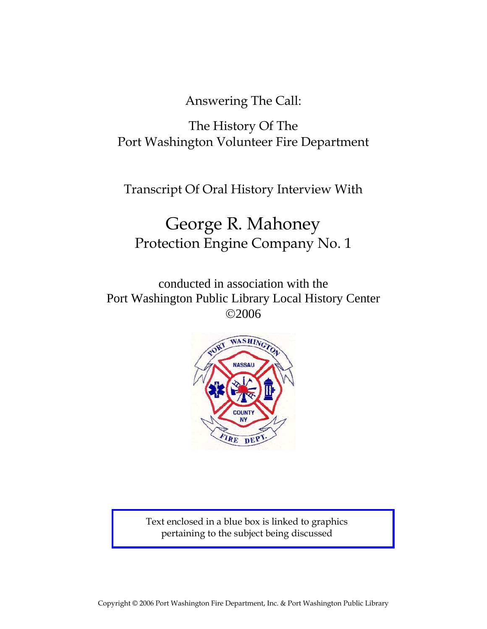Answering The Call:

# The History Of The Port Washington Volunteer Fire Department

Transcript Of Oral History Interview With

# George R. Mahoney Protection Engine Company No. 1

conducted in association with the Port Washington Public Library Local History Center ©2006



Text enclosed in a blue box is linked to graphics pertaining to the subject being discussed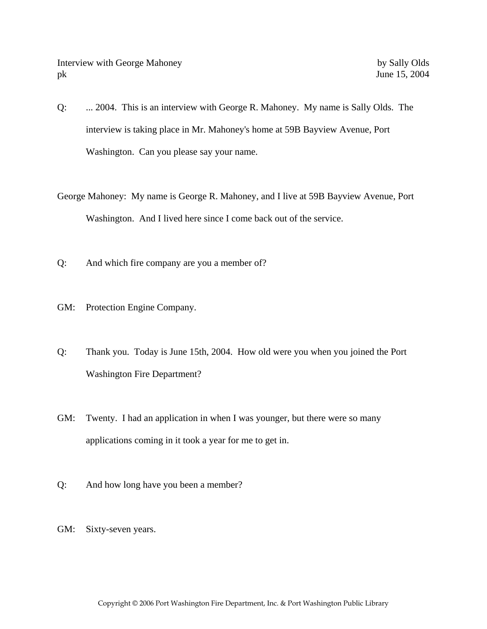- Q: ... 2004. This is an interview with George R. Mahoney. My name is Sally Olds. The interview is taking place in Mr. Mahoney's home at 59B Bayview Avenue, Port Washington. Can you please say your name.
- George Mahoney: My name is George R. Mahoney, and I live at 59B Bayview Avenue, Port Washington. And I lived here since I come back out of the service.
- Q: And which fire company are you a member of?
- GM: Protection Engine Company.
- Q: Thank you. Today is June 15th, 2004. How old were you when you joined the Port Washington Fire Department?
- GM: Twenty. I had an application in when I was younger, but there were so many applications coming in it took a year for me to get in.
- Q: And how long have you been a member?
- GM: Sixty-seven years.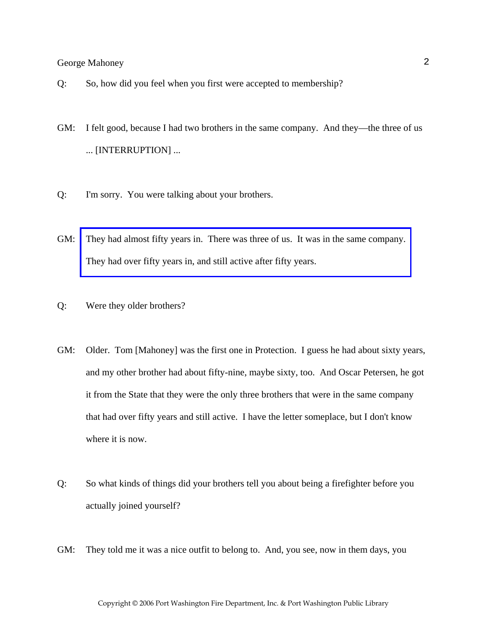- Q: So, how did you feel when you first were accepted to membership?
- GM: I felt good, because I had two brothers in the same company. And they—the three of us ... [INTERRUPTION] ...
- Q: I'm sorry. You were talking about your brothers.
- GM: [They had almost fifty years in. There was three of us. It was in the same company.](http://www.pwfdhistory.com/trans/mahoneyg_trans/mahoney003_web.jpg)  They had over fifty years in, and still active after fifty years.
- Q: Were they older brothers?
- GM: Older. Tom [Mahoney] was the first one in Protection. I guess he had about sixty years, and my other brother had about fifty-nine, maybe sixty, too. And Oscar Petersen, he got it from the State that they were the only three brothers that were in the same company that had over fifty years and still active. I have the letter someplace, but I don't know where it is now.
- Q: So what kinds of things did your brothers tell you about being a firefighter before you actually joined yourself?
- GM: They told me it was a nice outfit to belong to. And, you see, now in them days, you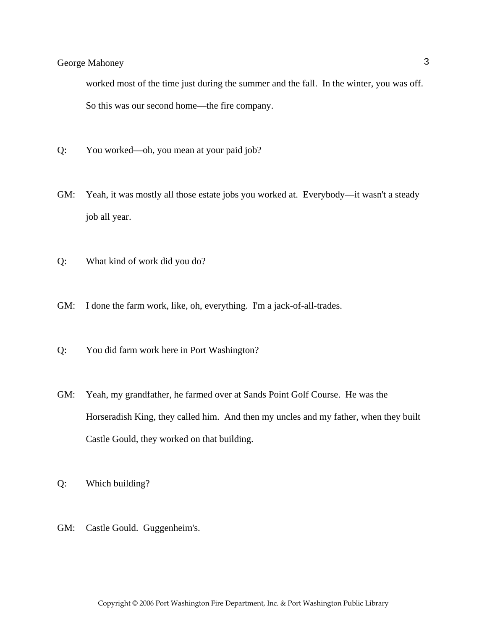worked most of the time just during the summer and the fall. In the winter, you was off. So this was our second home—the fire company.

- Q: You worked—oh, you mean at your paid job?
- GM: Yeah, it was mostly all those estate jobs you worked at. Everybody—it wasn't a steady job all year.
- Q: What kind of work did you do?
- GM: I done the farm work, like, oh, everything. I'm a jack-of-all-trades.
- Q: You did farm work here in Port Washington?
- GM: Yeah, my grandfather, he farmed over at Sands Point Golf Course. He was the Horseradish King, they called him. And then my uncles and my father, when they built Castle Gould, they worked on that building.

Q: Which building?

GM: Castle Gould. Guggenheim's.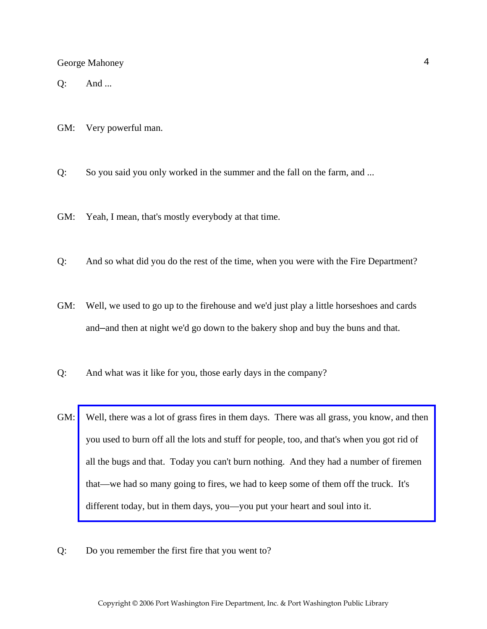Q: And ...

GM: Very powerful man.

Q: So you said you only worked in the summer and the fall on the farm, and ...

GM: Yeah, I mean, that's mostly everybody at that time.

- Q: And so what did you do the rest of the time, when you were with the Fire Department?
- GM: Well, we used to go up to the firehouse and we'd just play a little horseshoes and cards and—and then at night we'd go down to the bakery shop and buy the buns and that.
- Q: And what was it like for you, those early days in the company?
- GM: [Well, there was a lot of grass fires in them days. There was all grass, you know, and then](http://www.pwfdhistory.com/trans/mahoneyg_trans/pwfd_fires09_web.jpg)  you used to burn off all the lots and stuff for people, too, and that's when you got rid of all the bugs and that. Today you can't burn nothing. And they had a number of firemen that—we had so many going to fires, we had to keep some of them off the truck. It's different today, but in them days, you—you put your heart and soul into it.
- Q: Do you remember the first fire that you went to?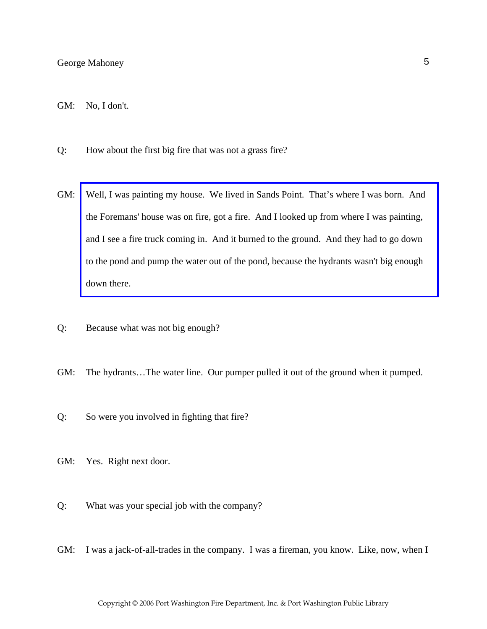- Q: How about the first big fire that was not a grass fire?
- GM: [Well, I was painting my house. We lived in Sands Point. That's where I was born. And](http://www.pwfdhistory.com/trans/mahoneyg_trans/news_hewitt_1939-11_web.jpg)  the Foremans' house was on fire, got a fire. And I looked up from where I was painting, and I see a fire truck coming in. And it burned to the ground. And they had to go down to the pond and pump the water out of the pond, because the hydrants wasn't big enough down there.
- Q: Because what was not big enough?
- GM: The hydrants…The water line. Our pumper pulled it out of the ground when it pumped.
- Q: So were you involved in fighting that fire?
- GM: Yes. Right next door.
- Q: What was your special job with the company?
- GM: I was a jack-of-all-trades in the company. I was a fireman, you know. Like, now, when I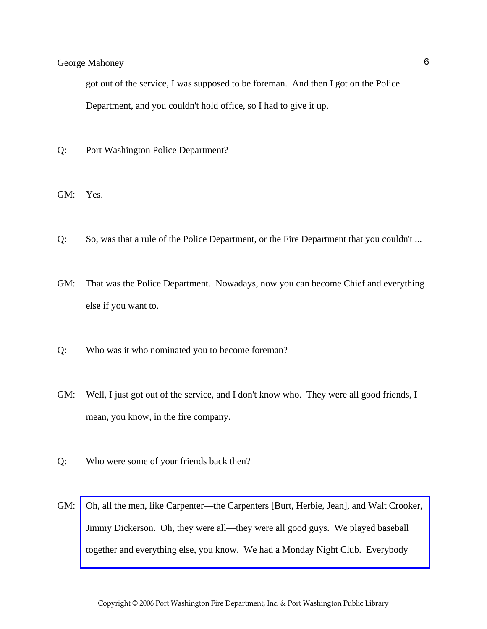got out of the service, I was supposed to be foreman. And then I got on the Police Department, and you couldn't hold office, so I had to give it up.

- Q: Port Washington Police Department?
- GM: Yes.
- Q: So, was that a rule of the Police Department, or the Fire Department that you couldn't ...
- GM: That was the Police Department. Nowadays, now you can become Chief and everything else if you want to.
- Q: Who was it who nominated you to become foreman?
- GM: Well, I just got out of the service, and I don't know who. They were all good friends, I mean, you know, in the fire company.
- Q: Who were some of your friends back then?
- GM: [Oh, all the men, like Carpenter—the Carpenters \[Burt, Herbie, Jean\], and Walt Crooker,](http://www.pwfdhistory.com/trans/mahoneyg_trans/pwfd_softball007.pdf)  Jimmy Dickerson. Oh, they were all—they were all good guys. We played baseball together and everything else, you know. We had a Monday Night Club. Everybody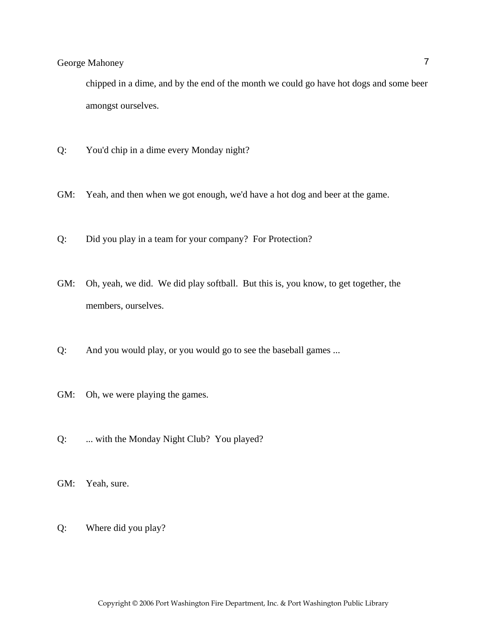chipped in a dime, and by the end of the month we could go have hot dogs and some beer amongst ourselves.

- Q: You'd chip in a dime every Monday night?
- GM: Yeah, and then when we got enough, we'd have a hot dog and beer at the game.
- Q: Did you play in a team for your company? For Protection?
- GM: Oh, yeah, we did. We did play softball. But this is, you know, to get together, the members, ourselves.
- Q: And you would play, or you would go to see the baseball games ...
- GM: Oh, we were playing the games.
- Q: ... with the Monday Night Club? You played?
- GM: Yeah, sure.
- Q: Where did you play?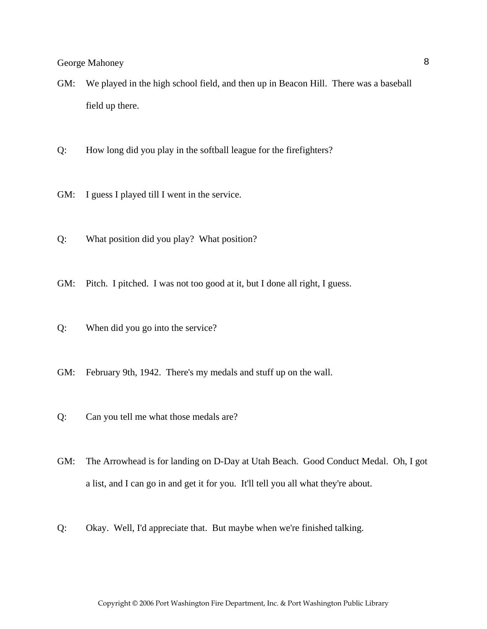- GM: We played in the high school field, and then up in Beacon Hill. There was a baseball field up there.
- Q: How long did you play in the softball league for the firefighters?
- GM: I guess I played till I went in the service.
- Q: What position did you play? What position?
- GM: Pitch. I pitched. I was not too good at it, but I done all right, I guess.
- Q: When did you go into the service?
- GM: February 9th, 1942. There's my medals and stuff up on the wall.
- Q: Can you tell me what those medals are?
- GM: The Arrowhead is for landing on D-Day at Utah Beach. Good Conduct Medal. Oh, I got a list, and I can go in and get it for you. It'll tell you all what they're about.
- Q: Okay. Well, I'd appreciate that. But maybe when we're finished talking.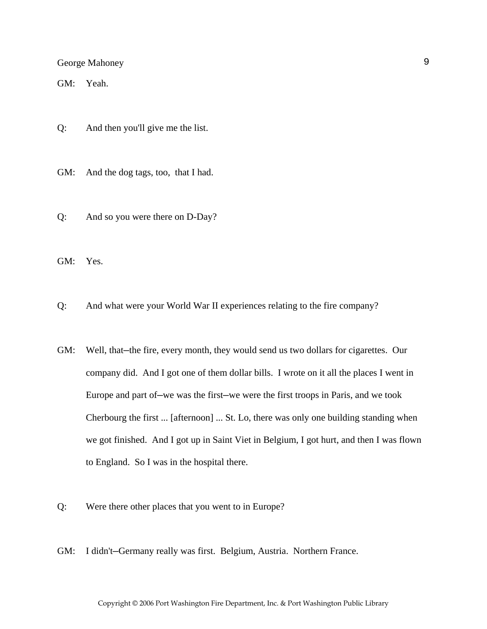GM: Yeah.

Q: And then you'll give me the list.

GM: And the dog tags, too, that I had.

Q: And so you were there on D-Day?

GM: Yes.

Q: And what were your World War II experiences relating to the fire company?

- GM: Well, that—the fire, every month, they would send us two dollars for cigarettes. Our company did. And I got one of them dollar bills. I wrote on it all the places I went in Europe and part of—we was the first—we were the first troops in Paris, and we took Cherbourg the first ... [afternoon] ... St. Lo, there was only one building standing when we got finished. And I got up in Saint Viet in Belgium, I got hurt, and then I was flown to England. So I was in the hospital there.
- Q: Were there other places that you went to in Europe?
- GM: I didn't—Germany really was first. Belgium, Austria. Northern France.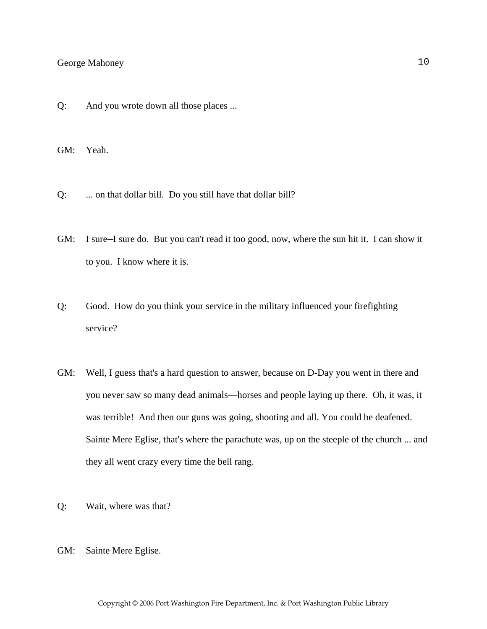Q: And you wrote down all those places ...

GM: Yeah.

- Q: ... on that dollar bill. Do you still have that dollar bill?
- GM: I sure—I sure do. But you can't read it too good, now, where the sun hit it. I can show it to you. I know where it is.
- Q: Good. How do you think your service in the military influenced your firefighting service?
- GM: Well, I guess that's a hard question to answer, because on D-Day you went in there and you never saw so many dead animals—horses and people laying up there. Oh, it was, it was terrible! And then our guns was going, shooting and all. You could be deafened. Sainte Mere Eglise, that's where the parachute was, up on the steeple of the church ... and they all went crazy every time the bell rang.
- Q: Wait, where was that?
- GM: Sainte Mere Eglise.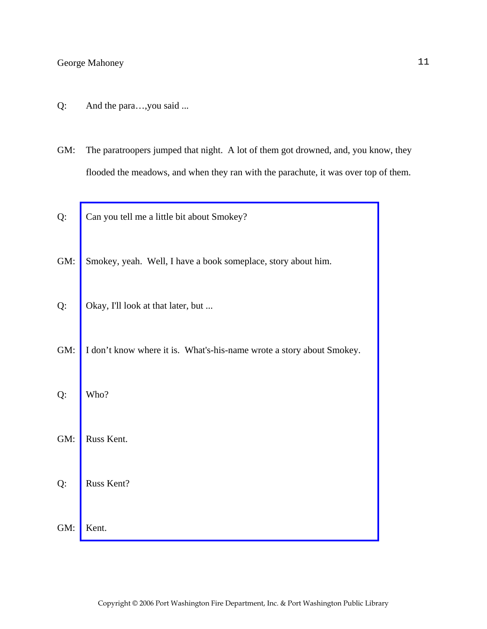- Q: And the para…,you said ...
- GM: The paratroopers jumped that night. A lot of them got drowned, and, you know, they flooded the meadows, and when they ran with the parachute, it was over top of them.
- Q: Can you tell me a little bit about Smokey?
- GM: Smokey, yeah. Well, I have a book someplace, story about him.
- Q: Okay, I'll look at that later, but ...
- GM: [I don't know where it is. What's-his-name wrote a story about Smokey.](http://www.pwfdhistory.com/trans/mahoneyg_trans/firefoc900712_pz_web.jpg)
- Q: Who?
- GM: Russ Kent.
- Q: Russ Kent?
- GM: Kent.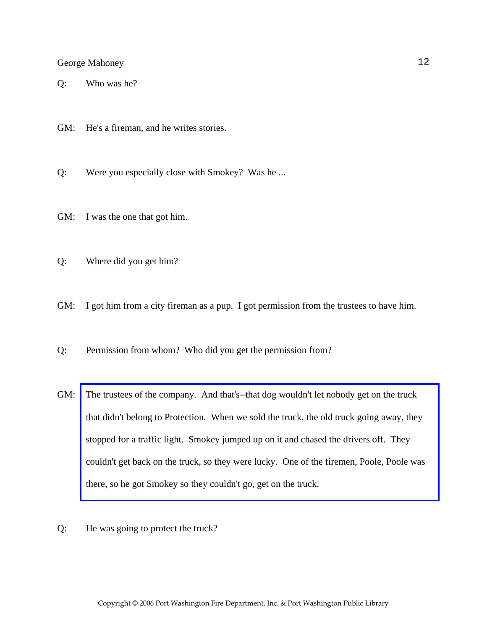Q: Who was he?

GM: He's a fireman, and he writes stories.

Q: Were you especially close with Smokey? Was he ...

GM: I was the one that got him.

Q: Where did you get him?

GM: I got him from a city fireman as a pup. I got permission from the trustees to have him.

Q: Permission from whom? Who did you get the permission from?

- GM: The trustees of the company. And that's—that dog wouldn't let nobody get on the truck that didn't belong to Protection. When we sold the truck, the old truck going away, they stopped for a traffic light. Smokey jumped up on it and chased the drivers off. They [couldn't get back on the truck, so they were lucky. One of the firemen, Poole, Poole was](http://www.pwfdhistory.com/trans/mahoneyg_trans/peco_smokey004_web.jpg)  there, so he got Smokey so they couldn't go, get on the truck.
- Q: He was going to protect the truck?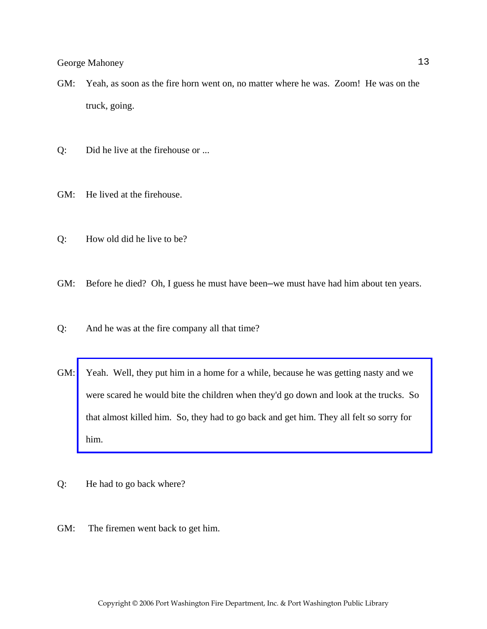- GM: Yeah, as soon as the fire horn went on, no matter where he was. Zoom! He was on the truck, going.
- Q: Did he live at the firehouse or ...
- GM: He lived at the firehouse.
- Q: How old did he live to be?
- GM: Before he died? Oh, I guess he must have been—we must have had him about ten years.
- Q: And he was at the fire company all that time?
- GM: [Yeah. Well, they put him in a home for a while, because he was getting nasty and we](http://www.pwfdhistory.com/trans/mahoneyg_trans/peco_smokey005_web.jpg)  were scared he would bite the children when they'd go down and look at the trucks. So that almost killed him. So, they had to go back and get him. They all felt so sorry for him.
- Q: He had to go back where?
- GM: The firemen went back to get him.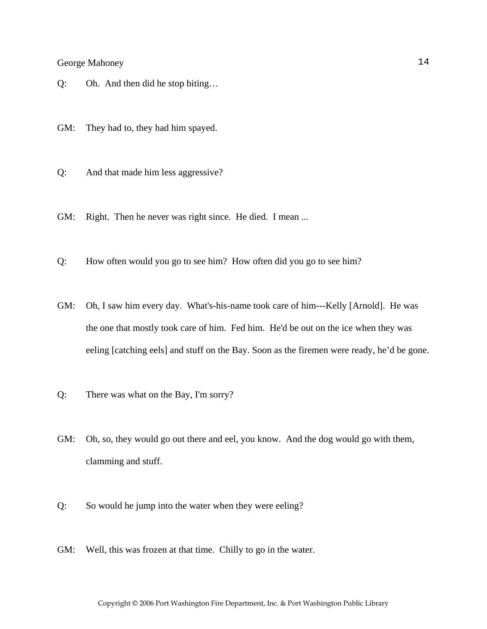Q: Oh. And then did he stop biting…

GM: They had to, they had him spayed.

- Q: And that made him less aggressive?
- GM: Right. Then he never was right since. He died. I mean ...
- Q: How often would you go to see him? How often did you go to see him?
- GM: Oh, I saw him every day. What's-his-name took care of him---Kelly [Arnold]. He was the one that mostly took care of him. Fed him. He'd be out on the ice when they was eeling [catching eels] and stuff on the Bay. Soon as the firemen were ready, he'd be gone.
- Q: There was what on the Bay, I'm sorry?
- GM: Oh, so, they would go out there and eel, you know. And the dog would go with them, clamming and stuff.
- Q: So would he jump into the water when they were eeling?
- GM: Well, this was frozen at that time. Chilly to go in the water.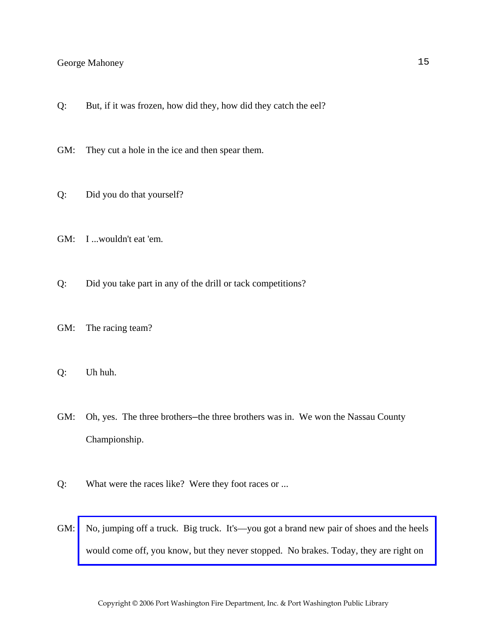Q: But, if it was frozen, how did they, how did they catch the eel?

GM: They cut a hole in the ice and then spear them.

- Q: Did you do that yourself?
- GM: I ...wouldn't eat 'em.
- Q: Did you take part in any of the drill or tack competitions?
- GM: The racing team?
- Q: Uh huh.
- GM: Oh, yes. The three brothers—the three brothers was in. We won the Nassau County Championship.
- Q: What were the races like? Were they foot races or ...
- GM: No, jumping off a truck. Big truck. It's—you got a brand new pair of shoes and the heels would come off, you know, but they never stopped. No brakes. Today, they are right on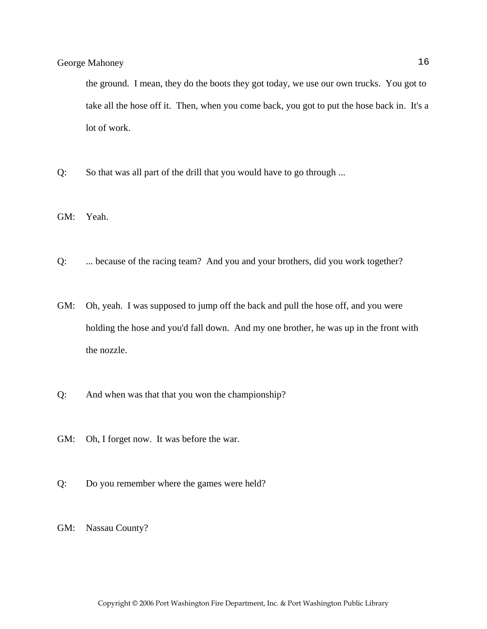the ground. I mean, they do the boots they got today, we use our own trucks. You got to take all the hose off it. Then, when you come back, you got to put the hose back in. It's a lot of work.

Q: So that was all part of the drill that you would have to go through ...

GM: Yeah.

- Q: ... because of the racing team? And you and your brothers, did you work together?
- GM: Oh, yeah. I was supposed to jump off the back and pull the hose off, and you were holding the hose and you'd fall down. And my one brother, he was up in the front with the nozzle.
- Q: And when was that that you won the championship?
- GM: Oh, I forget now. It was before the war.
- Q: Do you remember where the games were held?

GM: Nassau County?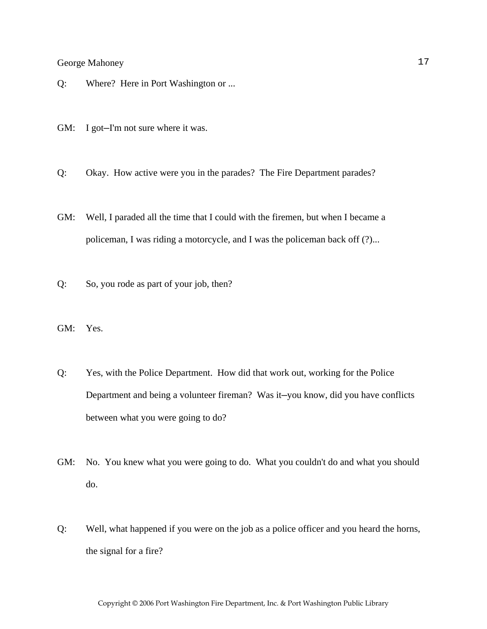- Q: Where? Here in Port Washington or ...
- GM: I got-I'm not sure where it was.
- Q: Okay. How active were you in the parades? The Fire Department parades?
- GM: Well, I paraded all the time that I could with the firemen, but when I became a policeman, I was riding a motorcycle, and I was the policeman back off (?)...
- Q: So, you rode as part of your job, then?
- GM: Yes.
- Q: Yes, with the Police Department. How did that work out, working for the Police Department and being a volunteer fireman? Was it—you know, did you have conflicts between what you were going to do?
- GM: No. You knew what you were going to do. What you couldn't do and what you should do.
- Q: Well, what happened if you were on the job as a police officer and you heard the horns, the signal for a fire?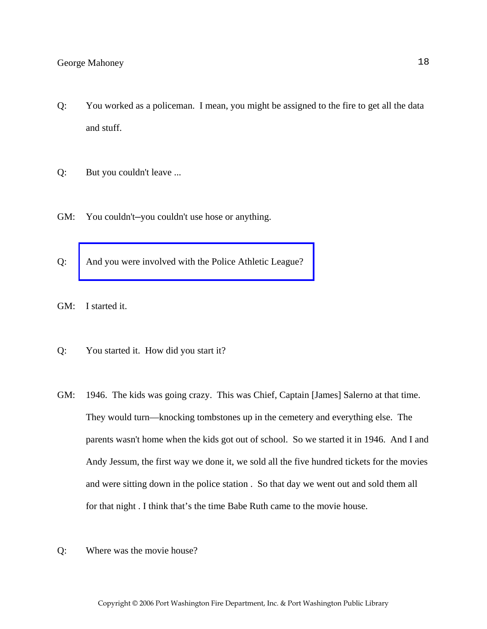- Q: You worked as a policeman. I mean, you might be assigned to the fire to get all the data and stuff.
- Q: But you couldn't leave ...
- GM: You couldn't—you couldn't use hose or anything.
- Q: [And you were involved with the Police Athletic League?](http://www.pwfdhistory.com/trans/mahoneyg_trans/news_cocks290a_web.jpg)
- GM: I started it.
- Q: You started it. How did you start it?
- GM: 1946. The kids was going crazy. This was Chief, Captain [James] Salerno at that time. They would turn—knocking tombstones up in the cemetery and everything else. The parents wasn't home when the kids got out of school. So we started it in 1946. And I and Andy Jessum, the first way we done it, we sold all the five hundred tickets for the movies and were sitting down in the police station . So that day we went out and sold them all for that night . I think that's the time Babe Ruth came to the movie house.
- Q: Where was the movie house?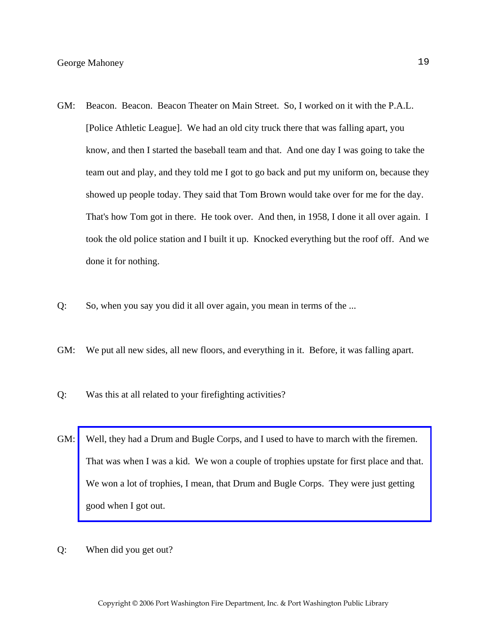- GM: Beacon. Beacon. Beacon Theater on Main Street. So, I worked on it with the P.A.L. [Police Athletic League]. We had an old city truck there that was falling apart, you know, and then I started the baseball team and that. And one day I was going to take the team out and play, and they told me I got to go back and put my uniform on, because they showed up people today. They said that Tom Brown would take over for me for the day. That's how Tom got in there. He took over. And then, in 1958, I done it all over again. I took the old police station and I built it up. Knocked everything but the roof off. And we done it for nothing.
- Q: So, when you say you did it all over again, you mean in terms of the ...
- GM: We put all new sides, all new floors, and everything in it. Before, it was falling apart.
- Q: Was this at all related to your firefighting activities?
- GM: [Well, they had a Drum and Bugle Corps, and I used to have to march with the firemen.](http://www.pwfdhistory.com/trans/mahoneyg_trans/news_cocks100a_web.jpg)  That was when I was a kid. We won a couple of trophies upstate for first place and that. We won a lot of trophies, I mean, that Drum and Bugle Corps. They were just getting good when I got out.
- Q: When did you get out?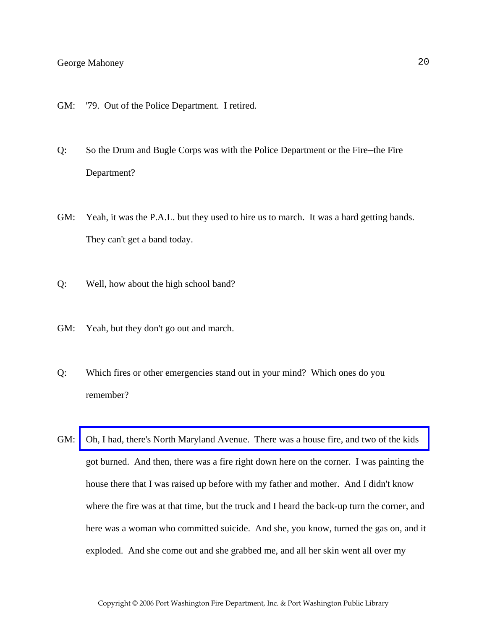- GM: '79. Out of the Police Department. I retired.
- Q: So the Drum and Bugle Corps was with the Police Department or the Fire—the Fire Department?
- GM: Yeah, it was the P.A.L. but they used to hire us to march. It was a hard getting bands. They can't get a band today.
- Q: Well, how about the high school band?
- GM: Yeah, but they don't go out and march.
- Q: Which fires or other emergencies stand out in your mind? Which ones do you remember?
- GM: [Oh, I had, there's North Maryland Avenue. There was a house fire, and two of the kids](http://www.pwfdhistory.com/trans/mahoneyg_trans/peco_fires023_web.jpg)  got burned. And then, there was a fire right down here on the corner. I was painting the house there that I was raised up before with my father and mother. And I didn't know where the fire was at that time, but the truck and I heard the back-up turn the corner, and here was a woman who committed suicide. And she, you know, turned the gas on, and it exploded. And she come out and she grabbed me, and all her skin went all over my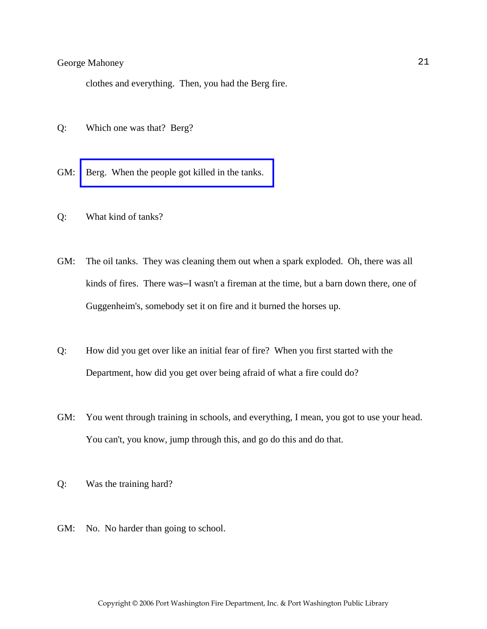clothes and everything. Then, you had the Berg fire.

- Q: Which one was that? Berg?
- GM: [Berg. When the people got killed in the tanks.](http://www.pwfdhistory.com/trans/mahoneyg_trans/news_hewitt_1940-06_web.jpg)
- Q: What kind of tanks?
- GM: The oil tanks. They was cleaning them out when a spark exploded. Oh, there was all kinds of fires. There was—I wasn't a fireman at the time, but a barn down there, one of Guggenheim's, somebody set it on fire and it burned the horses up.
- Q: How did you get over like an initial fear of fire? When you first started with the Department, how did you get over being afraid of what a fire could do?
- GM: You went through training in schools, and everything, I mean, you got to use your head. You can't, you know, jump through this, and go do this and do that.
- Q: Was the training hard?
- GM: No. No harder than going to school.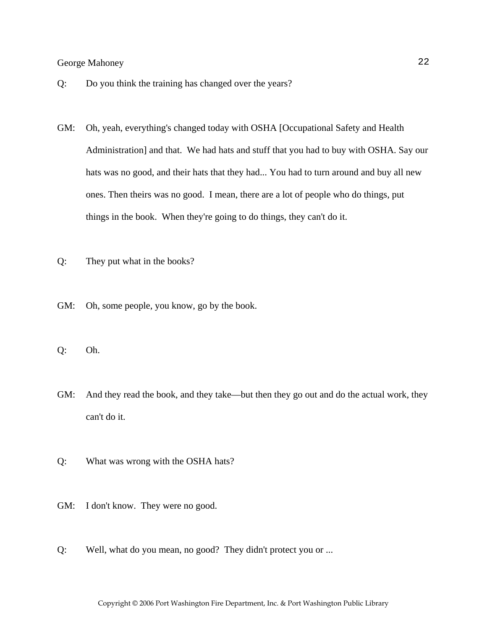- Q: Do you think the training has changed over the years?
- GM: Oh, yeah, everything's changed today with OSHA [Occupational Safety and Health Administration] and that. We had hats and stuff that you had to buy with OSHA. Say our hats was no good, and their hats that they had... You had to turn around and buy all new ones. Then theirs was no good. I mean, there are a lot of people who do things, put things in the book. When they're going to do things, they can't do it.
- Q: They put what in the books?
- GM: Oh, some people, you know, go by the book.
- Q: Oh.
- GM: And they read the book, and they take—but then they go out and do the actual work, they can't do it.
- Q: What was wrong with the OSHA hats?
- GM: I don't know. They were no good.
- Q: Well, what do you mean, no good? They didn't protect you or ...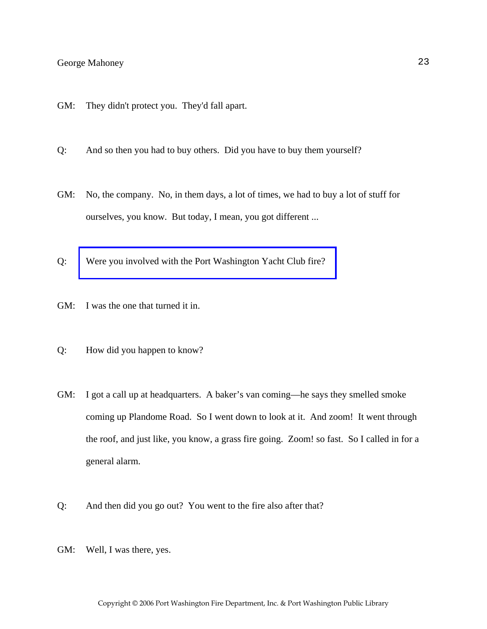- GM: They didn't protect you. They'd fall apart.
- Q: And so then you had to buy others. Did you have to buy them yourself?
- GM: No, the company. No, in them days, a lot of times, we had to buy a lot of stuff for ourselves, you know. But today, I mean, you got different ...
- Q: [Were you involved with the Port Washington Yacht Club fire?](http://www.pwfdhistory.com/trans/mahoneyg_trans/peco_fires029_web.jpg)
- GM: I was the one that turned it in.
- Q: How did you happen to know?
- GM: I got a call up at headquarters. A baker's van coming—he says they smelled smoke coming up Plandome Road. So I went down to look at it. And zoom! It went through the roof, and just like, you know, a grass fire going. Zoom! so fast. So I called in for a general alarm.

Copyright © 2006 Port Washington Fire Department, Inc. & Port Washington Public Library

- Q: And then did you go out? You went to the fire also after that?
- GM: Well, I was there, yes.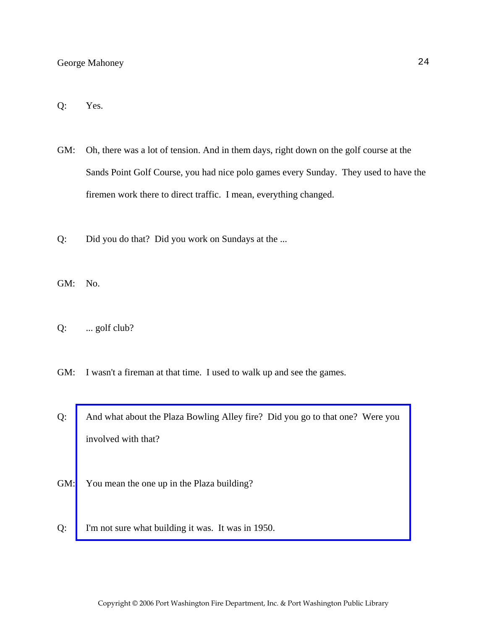#### Q: Yes.

- GM: Oh, there was a lot of tension. And in them days, right down on the golf course at the Sands Point Golf Course, you had nice polo games every Sunday. They used to have the firemen work there to direct traffic. I mean, everything changed.
- Q: Did you do that? Did you work on Sundays at the ...
- GM: No.
- Q: ... golf club?
- GM: I wasn't a fireman at that time. I used to walk up and see the games.
- Q: [And what about the Plaza Bowling Alley fire? Did you go to that one? Were you](http://www.pwfdhistory.com/trans/mahoneyg_trans/news_smith_19511226_web.jpg)  involved with that?
- GM: You mean the one up in the Plaza building?
- Q: I'm not sure what building it was. It was in 1950.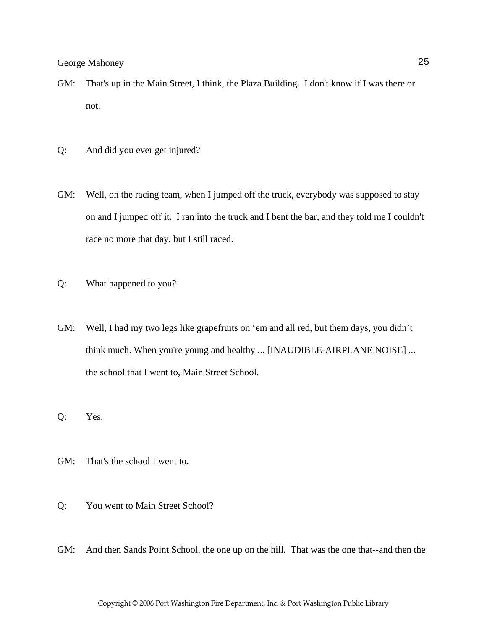- GM: That's up in the Main Street, I think, the Plaza Building. I don't know if I was there or not.
- Q: And did you ever get injured?
- GM: Well, on the racing team, when I jumped off the truck, everybody was supposed to stay on and I jumped off it. I ran into the truck and I bent the bar, and they told me I couldn't race no more that day, but I still raced.
- Q: What happened to you?
- GM: Well, I had my two legs like grapefruits on 'em and all red, but them days, you didn't think much. When you're young and healthy ... [INAUDIBLE-AIRPLANE NOISE] ... the school that I went to, Main Street School.
- Q: Yes.
- GM: That's the school I went to.
- Q: You went to Main Street School?
- GM: And then Sands Point School, the one up on the hill. That was the one that--and then the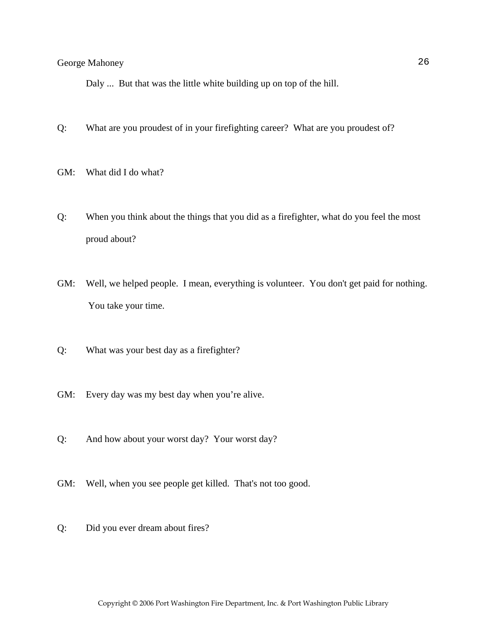Daly ... But that was the little white building up on top of the hill.

- Q: What are you proudest of in your firefighting career? What are you proudest of?
- GM: What did I do what?
- Q: When you think about the things that you did as a firefighter, what do you feel the most proud about?
- GM: Well, we helped people. I mean, everything is volunteer. You don't get paid for nothing. You take your time.
- Q: What was your best day as a firefighter?
- GM: Every day was my best day when you're alive.
- Q: And how about your worst day? Your worst day?
- GM: Well, when you see people get killed. That's not too good.
- Q: Did you ever dream about fires?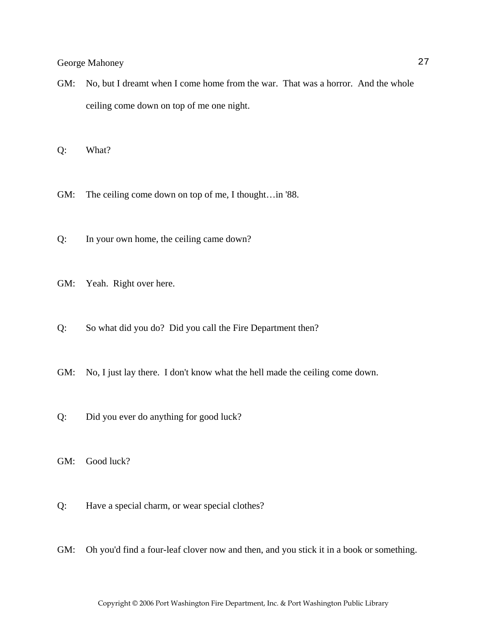GM: No, but I dreamt when I come home from the war. That was a horror. And the whole ceiling come down on top of me one night.

Q: What?

GM: The ceiling come down on top of me, I thought…in '88.

Q: In your own home, the ceiling came down?

GM: Yeah. Right over here.

Q: So what did you do? Did you call the Fire Department then?

GM: No, I just lay there. I don't know what the hell made the ceiling come down.

Q: Did you ever do anything for good luck?

GM: Good luck?

Q: Have a special charm, or wear special clothes?

GM: Oh you'd find a four-leaf clover now and then, and you stick it in a book or something.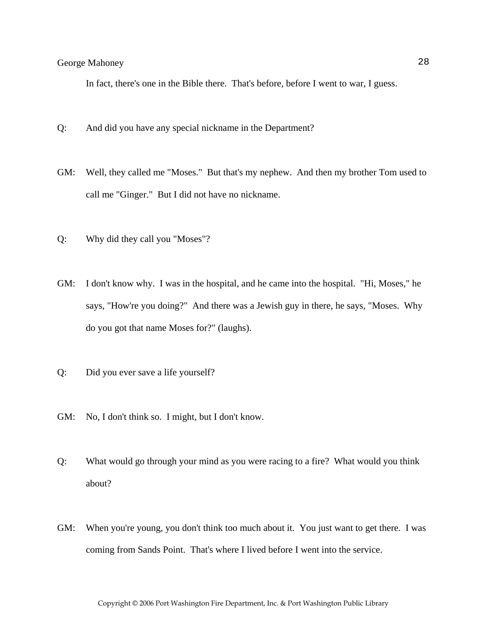In fact, there's one in the Bible there. That's before, before I went to war, I guess.

- Q: And did you have any special nickname in the Department?
- GM: Well, they called me "Moses." But that's my nephew. And then my brother Tom used to call me "Ginger." But I did not have no nickname.
- Q: Why did they call you "Moses"?
- GM: I don't know why. I was in the hospital, and he came into the hospital. "Hi, Moses," he says, "How're you doing?" And there was a Jewish guy in there, he says, "Moses. Why do you got that name Moses for?" (laughs).
- Q: Did you ever save a life yourself?
- GM: No, I don't think so. I might, but I don't know.
- Q: What would go through your mind as you were racing to a fire? What would you think about?
- GM: When you're young, you don't think too much about it. You just want to get there. I was coming from Sands Point. That's where I lived before I went into the service.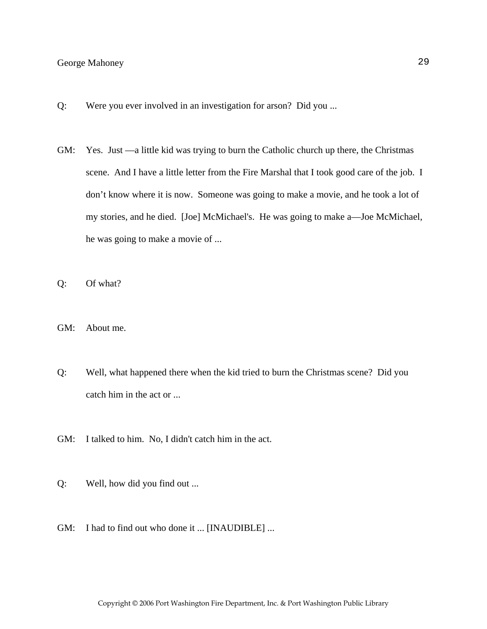- Q: Were you ever involved in an investigation for arson? Did you ...
- GM: Yes. Just —a little kid was trying to burn the Catholic church up there, the Christmas scene. And I have a little letter from the Fire Marshal that I took good care of the job. I don't know where it is now. Someone was going to make a movie, and he took a lot of my stories, and he died. [Joe] McMichael's. He was going to make a—Joe McMichael, he was going to make a movie of ...
- Q: Of what?
- GM: About me.
- Q: Well, what happened there when the kid tried to burn the Christmas scene? Did you catch him in the act or ...
- GM: I talked to him. No, I didn't catch him in the act.
- Q: Well, how did you find out ...
- GM: I had to find out who done it ... [INAUDIBLE] ...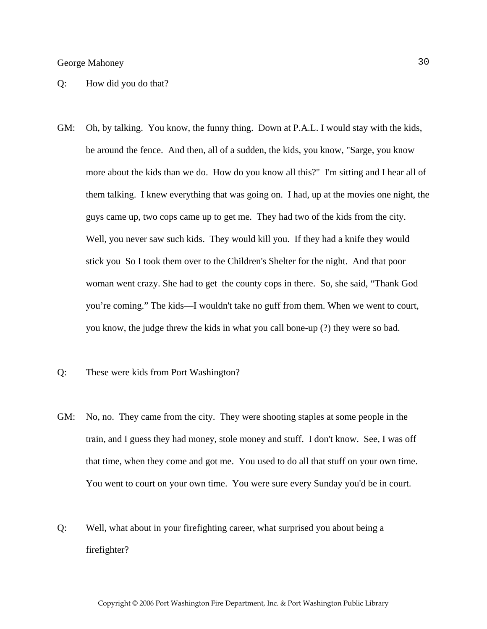#### Q: How did you do that?

GM: Oh, by talking. You know, the funny thing. Down at P.A.L. I would stay with the kids, be around the fence. And then, all of a sudden, the kids, you know, "Sarge, you know more about the kids than we do. How do you know all this?" I'm sitting and I hear all of them talking. I knew everything that was going on. I had, up at the movies one night, the guys came up, two cops came up to get me. They had two of the kids from the city. Well, you never saw such kids. They would kill you. If they had a knife they would stick you So I took them over to the Children's Shelter for the night. And that poor woman went crazy. She had to get the county cops in there. So, she said, "Thank God you're coming." The kids—I wouldn't take no guff from them. When we went to court, you know, the judge threw the kids in what you call bone-up (?) they were so bad.

#### Q: These were kids from Port Washington?

- GM: No, no. They came from the city. They were shooting staples at some people in the train, and I guess they had money, stole money and stuff. I don't know. See, I was off that time, when they come and got me. You used to do all that stuff on your own time. You went to court on your own time. You were sure every Sunday you'd be in court.
- Q: Well, what about in your firefighting career, what surprised you about being a firefighter?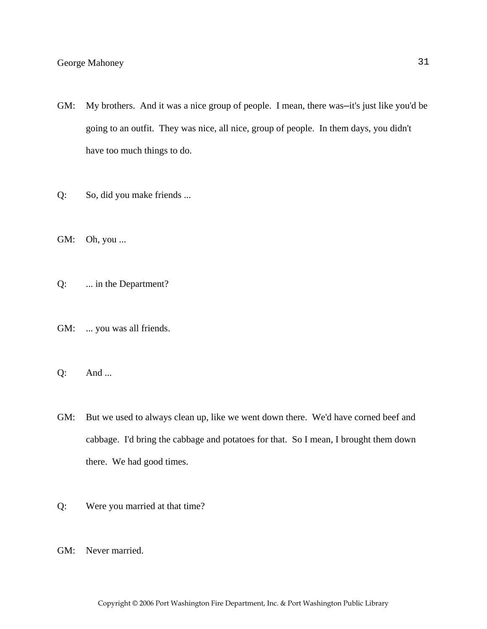- GM: My brothers. And it was a nice group of people. I mean, there was—it's just like you'd be going to an outfit. They was nice, all nice, group of people. In them days, you didn't have too much things to do.
- Q: So, did you make friends ...
- GM: Oh, you ...
- Q: ... in the Department?
- GM: ... you was all friends.
- Q: And ...
- GM: But we used to always clean up, like we went down there. We'd have corned beef and cabbage. I'd bring the cabbage and potatoes for that. So I mean, I brought them down there. We had good times.
- Q: Were you married at that time?
- GM: Never married.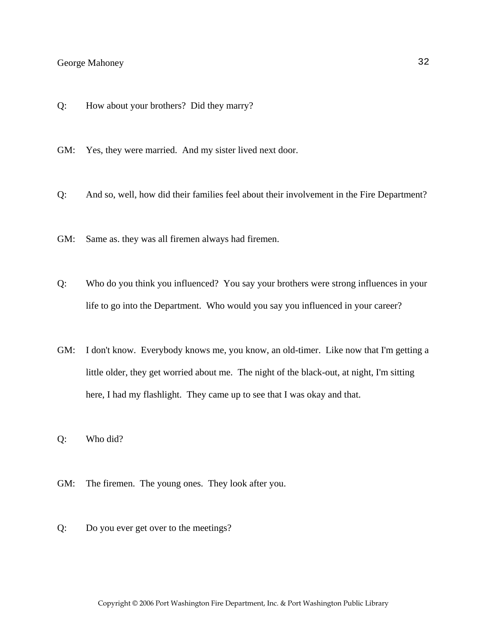Q: How about your brothers? Did they marry?

GM: Yes, they were married. And my sister lived next door.

- Q: And so, well, how did their families feel about their involvement in the Fire Department?
- GM: Same as. they was all firemen always had firemen.
- Q: Who do you think you influenced? You say your brothers were strong influences in your life to go into the Department. Who would you say you influenced in your career?
- GM: I don't know. Everybody knows me, you know, an old-timer. Like now that I'm getting a little older, they get worried about me. The night of the black-out, at night, I'm sitting here, I had my flashlight. They came up to see that I was okay and that.
- Q: Who did?
- GM: The firemen. The young ones. They look after you.
- Q: Do you ever get over to the meetings?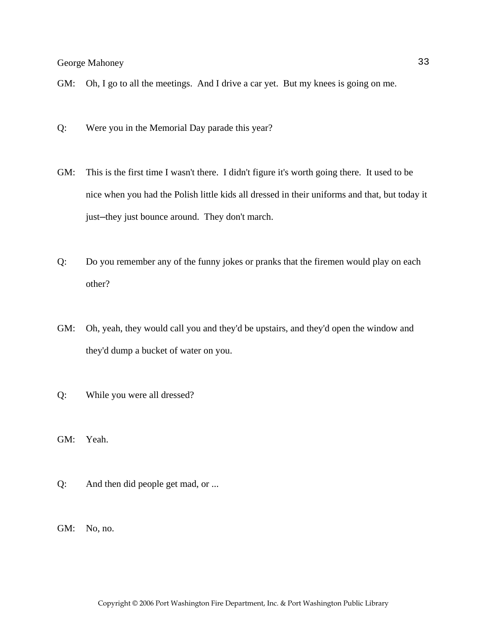- GM: Oh, I go to all the meetings. And I drive a car yet. But my knees is going on me.
- Q: Were you in the Memorial Day parade this year?
- GM: This is the first time I wasn't there. I didn't figure it's worth going there. It used to be nice when you had the Polish little kids all dressed in their uniforms and that, but today it just—they just bounce around. They don't march.
- Q: Do you remember any of the funny jokes or pranks that the firemen would play on each other?
- GM: Oh, yeah, they would call you and they'd be upstairs, and they'd open the window and they'd dump a bucket of water on you.
- Q: While you were all dressed?
- GM: Yeah.
- Q: And then did people get mad, or ...
- GM: No, no.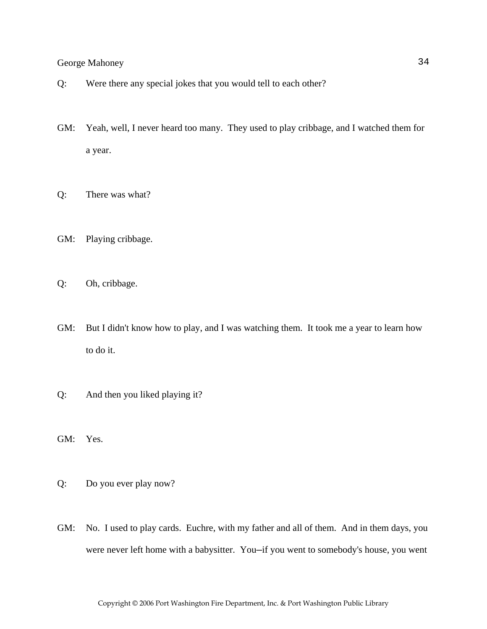- Q: Were there any special jokes that you would tell to each other?
- GM: Yeah, well, I never heard too many. They used to play cribbage, and I watched them for a year.
- Q: There was what?
- GM: Playing cribbage.
- Q: Oh, cribbage.
- GM: But I didn't know how to play, and I was watching them. It took me a year to learn how to do it.
- Q: And then you liked playing it?
- GM: Yes.
- Q: Do you ever play now?
- GM: No. I used to play cards. Euchre, with my father and all of them. And in them days, you were never left home with a babysitter. You—if you went to somebody's house, you went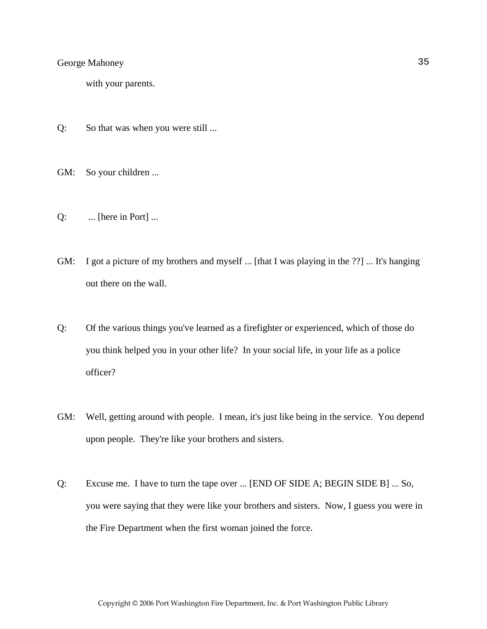with your parents.

- Q: So that was when you were still ...
- GM: So your children ...
- Q: ... [here in Port] ...
- GM: I got a picture of my brothers and myself ... [that I was playing in the ??] ... It's hanging out there on the wall.
- Q: Of the various things you've learned as a firefighter or experienced, which of those do you think helped you in your other life? In your social life, in your life as a police officer?
- GM: Well, getting around with people. I mean, it's just like being in the service. You depend upon people. They're like your brothers and sisters.
- Q: Excuse me. I have to turn the tape over ... [END OF SIDE A; BEGIN SIDE B] ... So, you were saying that they were like your brothers and sisters. Now, I guess you were in the Fire Department when the first woman joined the force.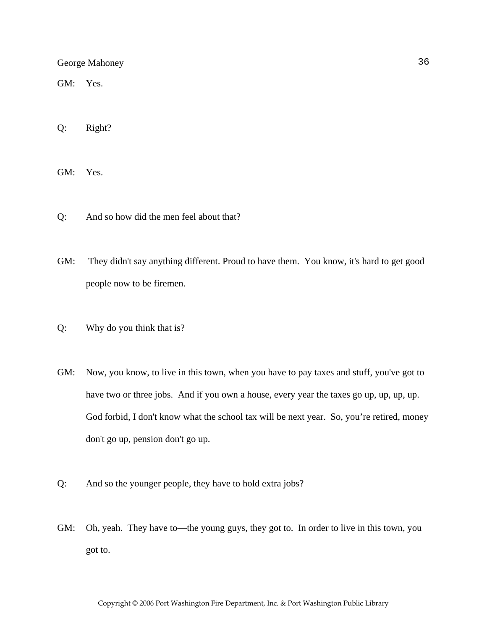GM: Yes.

Q: Right?

GM: Yes.

- Q: And so how did the men feel about that?
- GM: They didn't say anything different. Proud to have them. You know, it's hard to get good people now to be firemen.
- Q: Why do you think that is?
- GM: Now, you know, to live in this town, when you have to pay taxes and stuff, you've got to have two or three jobs. And if you own a house, every year the taxes go up, up, up, up. God forbid, I don't know what the school tax will be next year. So, you're retired, money don't go up, pension don't go up.
- Q: And so the younger people, they have to hold extra jobs?
- GM: Oh, yeah. They have to—the young guys, they got to. In order to live in this town, you got to.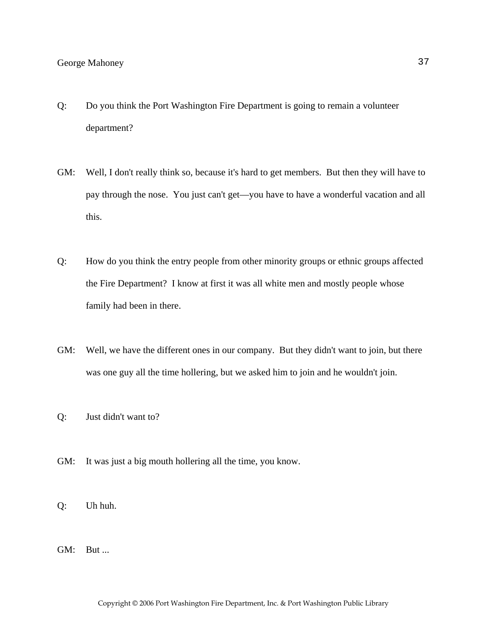- Q: Do you think the Port Washington Fire Department is going to remain a volunteer department?
- GM: Well, I don't really think so, because it's hard to get members. But then they will have to pay through the nose. You just can't get—you have to have a wonderful vacation and all this.
- Q: How do you think the entry people from other minority groups or ethnic groups affected the Fire Department? I know at first it was all white men and mostly people whose family had been in there.
- GM: Well, we have the different ones in our company. But they didn't want to join, but there was one guy all the time hollering, but we asked him to join and he wouldn't join.
- Q: Just didn't want to?
- GM: It was just a big mouth hollering all the time, you know.
- Q: Uh huh.
- GM: But ...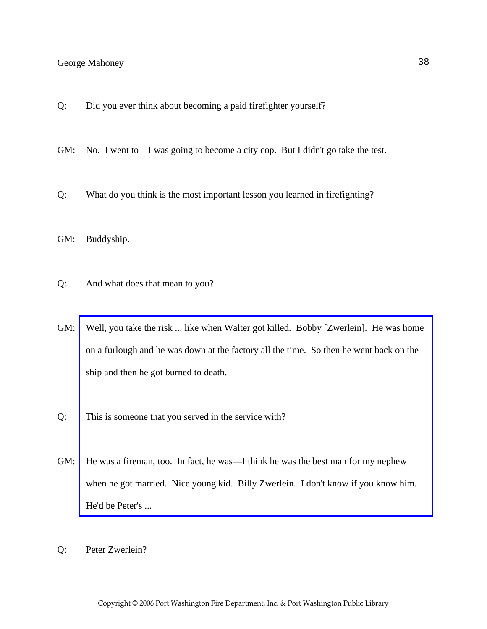- Q: Did you ever think about becoming a paid firefighter yourself?
- GM: No. I went to—I was going to become a city cop. But I didn't go take the test.
- Q: What do you think is the most important lesson you learned in firefighting?
- GM: Buddyship.
- Q: And what does that mean to you?
- GM: [Well, you take the risk ... like when Walter got killed. Bobby \[Zwerlein\]. He was home](http://www.pwfdhistory.com/trans/mahoneyg_trans/pwrep670804_pz_web.jpg)  on a furlough and he was down at the factory all the time. So then he went back on the ship and then he got burned to death.
- Q: This is someone that you served in the service with?
- GM: He was a fireman, too. In fact, he was—I think he was the best man for my nephew when he got married. Nice young kid. Billy Zwerlein. I don't know if you know him. He'd be Peter's ...
- Q: Peter Zwerlein?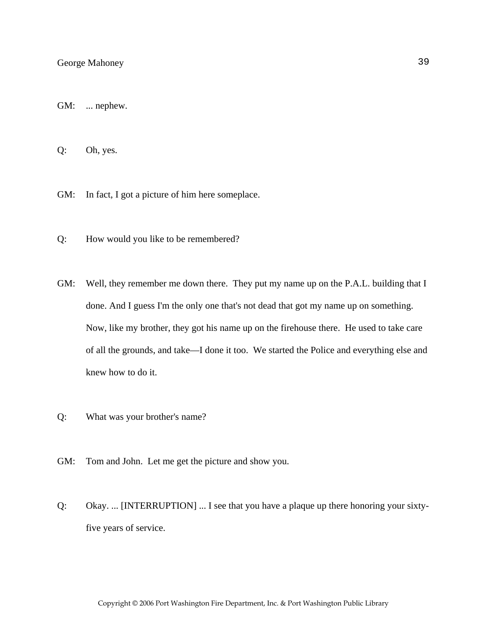GM: ... nephew.

Q: Oh, yes.

GM: In fact, I got a picture of him here someplace.

Q: How would you like to be remembered?

- GM: Well, they remember me down there. They put my name up on the P.A.L. building that I done. And I guess I'm the only one that's not dead that got my name up on something. Now, like my brother, they got his name up on the firehouse there. He used to take care of all the grounds, and take—I done it too. We started the Police and everything else and knew how to do it.
- Q: What was your brother's name?
- GM: Tom and John. Let me get the picture and show you.
- Q: Okay. ... [INTERRUPTION] ... I see that you have a plaque up there honoring your sixtyfive years of service.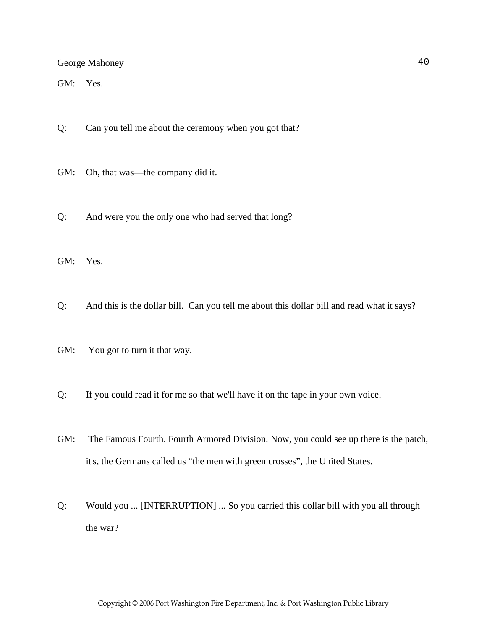GM: Yes.

- Q: Can you tell me about the ceremony when you got that?
- GM: Oh, that was—the company did it.
- Q: And were you the only one who had served that long?

GM: Yes.

- Q: And this is the dollar bill. Can you tell me about this dollar bill and read what it says?
- GM: You got to turn it that way.
- Q: If you could read it for me so that we'll have it on the tape in your own voice.
- GM: The Famous Fourth. Fourth Armored Division. Now, you could see up there is the patch, it's, the Germans called us "the men with green crosses", the United States.
- Q: Would you ... [INTERRUPTION] ... So you carried this dollar bill with you all through the war?